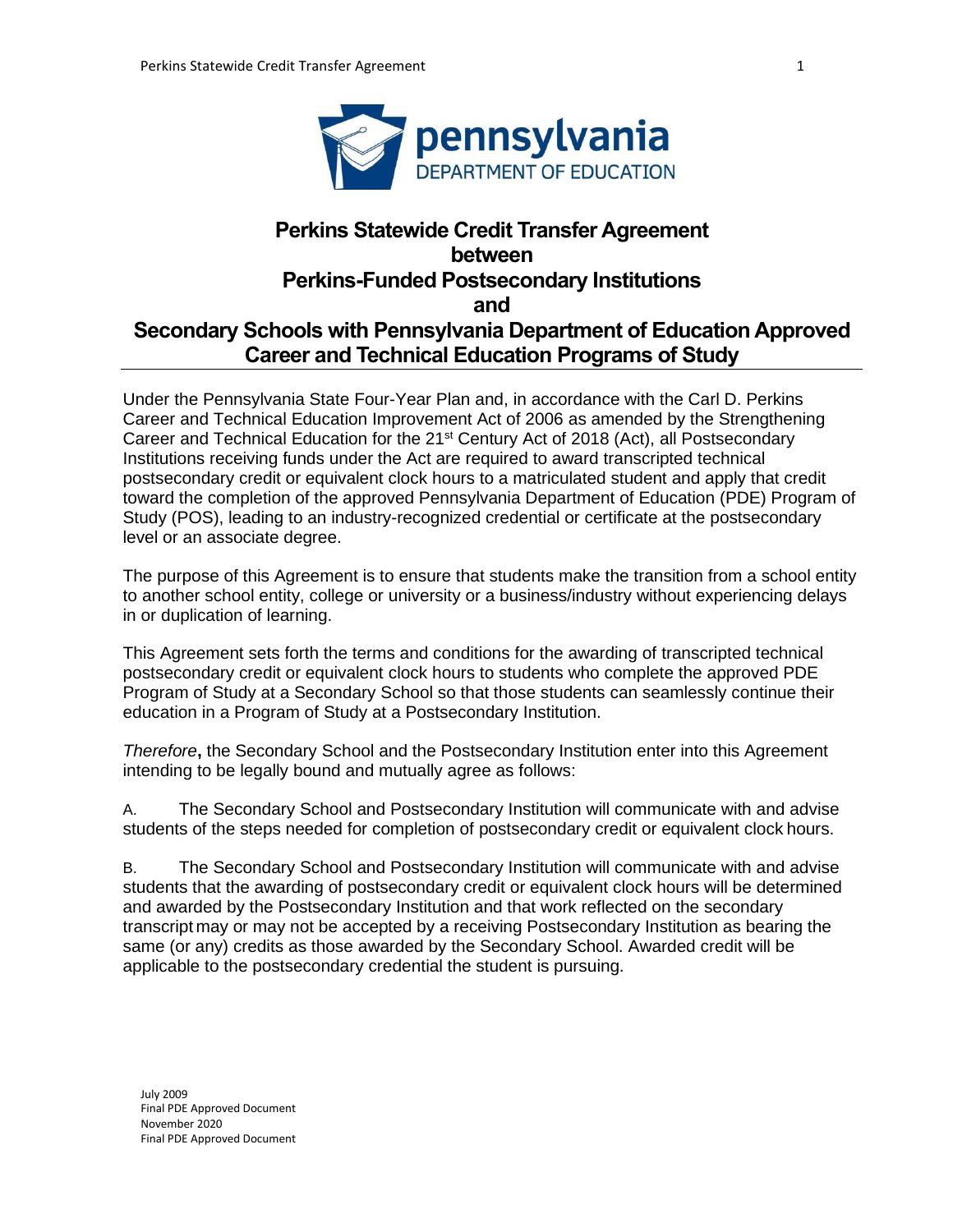

# **Perkins Statewide Credit Transfer Agreement between Perkins-Funded Postsecondary Institutions and Secondary Schools with Pennsylvania Department of Education Approved Career and Technical Education Programs of Study**

Under the Pennsylvania State Four-Year Plan and, in accordance with the Carl D. Perkins Career and Technical Education Improvement Act of 2006 as amended by the Strengthening Career and Technical Education for the 21<sup>st</sup> Century Act of 2018 (Act), all Postsecondary Institutions receiving funds under the Act are required to award transcripted technical postsecondary credit or equivalent clock hours to a matriculated student and apply that credit toward the completion of the approved Pennsylvania Department of Education (PDE) Program of Study (POS), leading to an industry-recognized credential or certificate at the postsecondary level or an associate degree.

The purpose of this Agreement is to ensure that students make the transition from a school entity to another school entity, college or university or a business/industry without experiencing delays in or duplication of learning.

This Agreement sets forth the terms and conditions for the awarding of transcripted technical postsecondary credit or equivalent clock hours to students who complete the approved PDE Program of Study at a Secondary School so that those students can seamlessly continue their education in a Program of Study at a Postsecondary Institution.

*Therefore***,** the Secondary School and the Postsecondary Institution enter into this Agreement intending to be legally bound and mutually agree as follows:

A. The Secondary School and Postsecondary Institution will communicate with and advise students of the steps needed for completion of postsecondary credit or equivalent clock hours.

B. The Secondary School and Postsecondary Institution will communicate with and advise students that the awarding of postsecondary credit or equivalent clock hours will be determined and awarded by the Postsecondary Institution and that work reflected on the secondary transcript may or may not be accepted by a receiving Postsecondary Institution as bearing the same (or any) credits as those awarded by the Secondary School. Awarded credit will be applicable to the postsecondary credential the student is pursuing.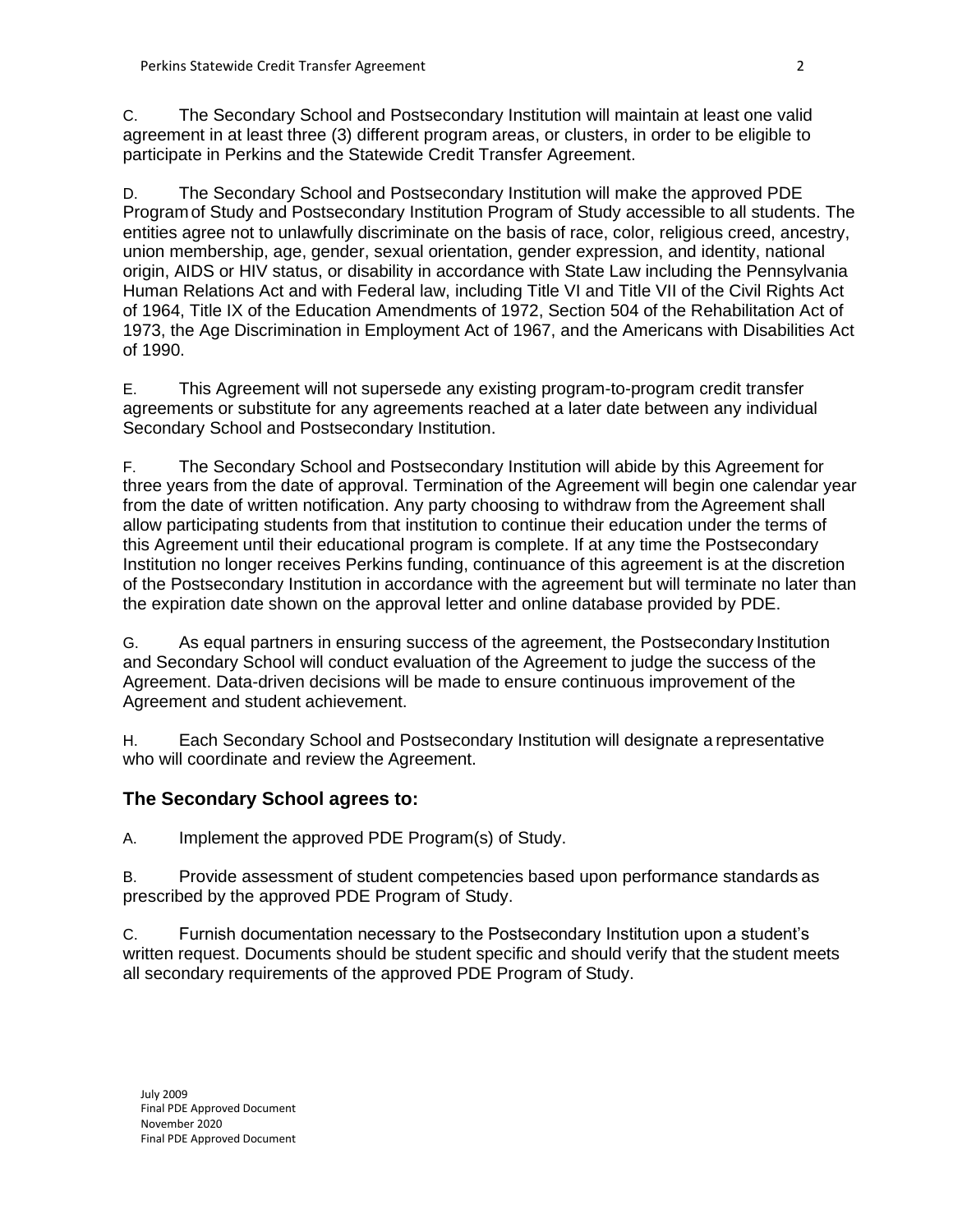C. The Secondary School and Postsecondary Institution will maintain at least one valid agreement in at least three (3) different program areas, or clusters, in order to be eligible to participate in Perkins and the Statewide Credit Transfer Agreement.

D. The Secondary School and Postsecondary Institution will make the approved PDE Programof Study and Postsecondary Institution Program of Study accessible to all students. The entities agree not to unlawfully discriminate on the basis of race, color, religious creed, ancestry, union membership, age, gender, sexual orientation, gender expression, and identity, national origin, AIDS or HIV status, or disability in accordance with State Law including the Pennsylvania Human Relations Act and with Federal law, including Title VI and Title VII of the Civil Rights Act of 1964, Title IX of the Education Amendments of 1972, Section 504 of the Rehabilitation Act of 1973, the Age Discrimination in Employment Act of 1967, and the Americans with Disabilities Act of 1990.

E. This Agreement will not supersede any existing program-to-program credit transfer agreements or substitute for any agreements reached at a later date between any individual Secondary School and Postsecondary Institution.

F. The Secondary School and Postsecondary Institution will abide by this Agreement for three years from the date of approval. Termination of the Agreement will begin one calendar year from the date of written notification. Any party choosing to withdraw from the Agreement shall allow participating students from that institution to continue their education under the terms of this Agreement until their educational program is complete. If at any time the Postsecondary Institution no longer receives Perkins funding, continuance of this agreement is at the discretion of the Postsecondary Institution in accordance with the agreement but will terminate no later than the expiration date shown on the approval letter and online database provided by PDE.

G. As equal partners in ensuring success of the agreement, the Postsecondary Institution and Secondary School will conduct evaluation of the Agreement to judge the success of the Agreement. Data-driven decisions will be made to ensure continuous improvement of the Agreement and student achievement.

H. Each Secondary School and Postsecondary Institution will designate a representative who will coordinate and review the Agreement.

# **The Secondary School agrees to:**

A. Implement the approved PDE Program(s) of Study.

B. Provide assessment of student competencies based upon performance standards as prescribed by the approved PDE Program of Study.

C. Furnish documentation necessary to the Postsecondary Institution upon a student's written request. Documents should be student specific and should verify that the student meets all secondary requirements of the approved PDE Program of Study.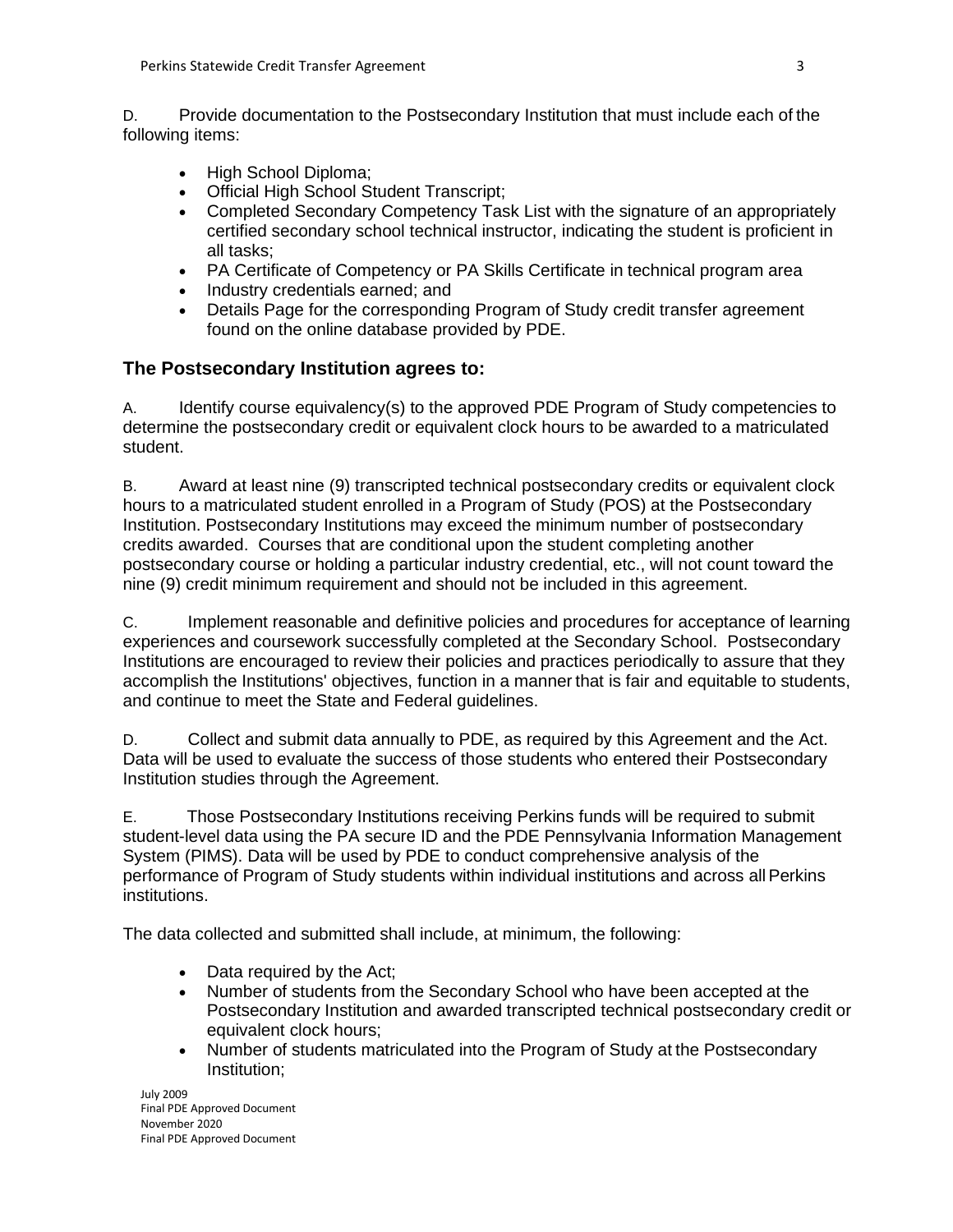D. Provide documentation to the Postsecondary Institution that must include each of the following items:

- High School Diploma;
- Official High School Student Transcript;
- Completed Secondary Competency Task List with the signature of an appropriately certified secondary school technical instructor, indicating the student is proficient in all tasks;
- PA Certificate of Competency or PA Skills Certificate in technical program area
- Industry credentials earned; and
- Details Page for the corresponding Program of Study credit transfer agreement found on the online database provided by PDE.

# **The Postsecondary Institution agrees to:**

A. Identify course equivalency(s) to the approved PDE Program of Study competencies to determine the postsecondary credit or equivalent clock hours to be awarded to a matriculated student.

B. Award at least nine (9) transcripted technical postsecondary credits or equivalent clock hours to a matriculated student enrolled in a Program of Study (POS) at the Postsecondary Institution. Postsecondary Institutions may exceed the minimum number of postsecondary credits awarded. Courses that are conditional upon the student completing another postsecondary course or holding a particular industry credential, etc., will not count toward the nine (9) credit minimum requirement and should not be included in this agreement.

C. Implement reasonable and definitive policies and procedures for acceptance of learning experiences and coursework successfully completed at the Secondary School. Postsecondary Institutions are encouraged to review their policies and practices periodically to assure that they accomplish the Institutions' objectives, function in a manner that is fair and equitable to students, and continue to meet the State and Federal guidelines.

D. Collect and submit data annually to PDE, as required by this Agreement and the Act. Data will be used to evaluate the success of those students who entered their Postsecondary Institution studies through the Agreement.

E. Those Postsecondary Institutions receiving Perkins funds will be required to submit student-level data using the PA secure ID and the PDE Pennsylvania Information Management System (PIMS). Data will be used by PDE to conduct comprehensive analysis of the performance of Program of Study students within individual institutions and across all Perkins institutions.

The data collected and submitted shall include, at minimum, the following:

- Data required by the Act;
- Number of students from the Secondary School who have been accepted at the Postsecondary Institution and awarded transcripted technical postsecondary credit or equivalent clock hours;
- Number of students matriculated into the Program of Study at the Postsecondary Institution;

July 2009 Final PDE Approved Document November 2020 Final PDE Approved Document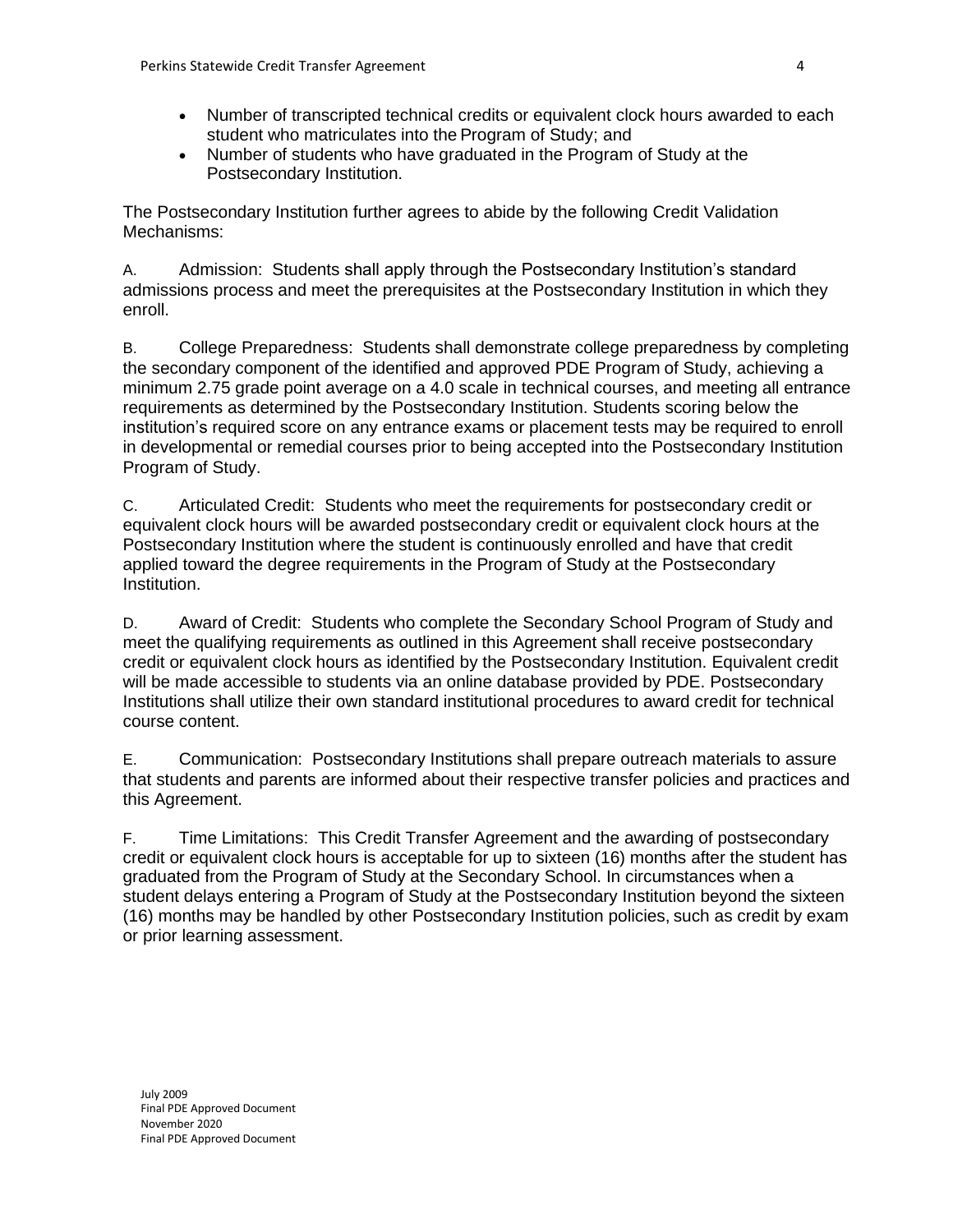- Number of transcripted technical credits or equivalent clock hours awarded to each student who matriculates into the Program of Study; and
- Number of students who have graduated in the Program of Study at the Postsecondary Institution.

The Postsecondary Institution further agrees to abide by the following Credit Validation Mechanisms:

A. Admission: Students shall apply through the Postsecondary Institution's standard admissions process and meet the prerequisites at the Postsecondary Institution in which they enroll.

B. College Preparedness: Students shall demonstrate college preparedness by completing the secondary component of the identified and approved PDE Program of Study, achieving a minimum 2.75 grade point average on a 4.0 scale in technical courses, and meeting all entrance requirements as determined by the Postsecondary Institution. Students scoring below the institution's required score on any entrance exams or placement tests may be required to enroll in developmental or remedial courses prior to being accepted into the Postsecondary Institution Program of Study.

C. Articulated Credit: Students who meet the requirements for postsecondary credit or equivalent clock hours will be awarded postsecondary credit or equivalent clock hours at the Postsecondary Institution where the student is continuously enrolled and have that credit applied toward the degree requirements in the Program of Study at the Postsecondary Institution.

D. Award of Credit: Students who complete the Secondary School Program of Study and meet the qualifying requirements as outlined in this Agreement shall receive postsecondary credit or equivalent clock hours as identified by the Postsecondary Institution. Equivalent credit will be made accessible to students via an online database provided by PDE. Postsecondary Institutions shall utilize their own standard institutional procedures to award credit for technical course content.

E. Communication: Postsecondary Institutions shall prepare outreach materials to assure that students and parents are informed about their respective transfer policies and practices and this Agreement.

F. Time Limitations: This Credit Transfer Agreement and the awarding of postsecondary credit or equivalent clock hours is acceptable for up to sixteen (16) months after the student has graduated from the Program of Study at the Secondary School. In circumstances when a student delays entering a Program of Study at the Postsecondary Institution beyond the sixteen (16) months may be handled by other Postsecondary Institution policies, such as credit by exam or prior learning assessment.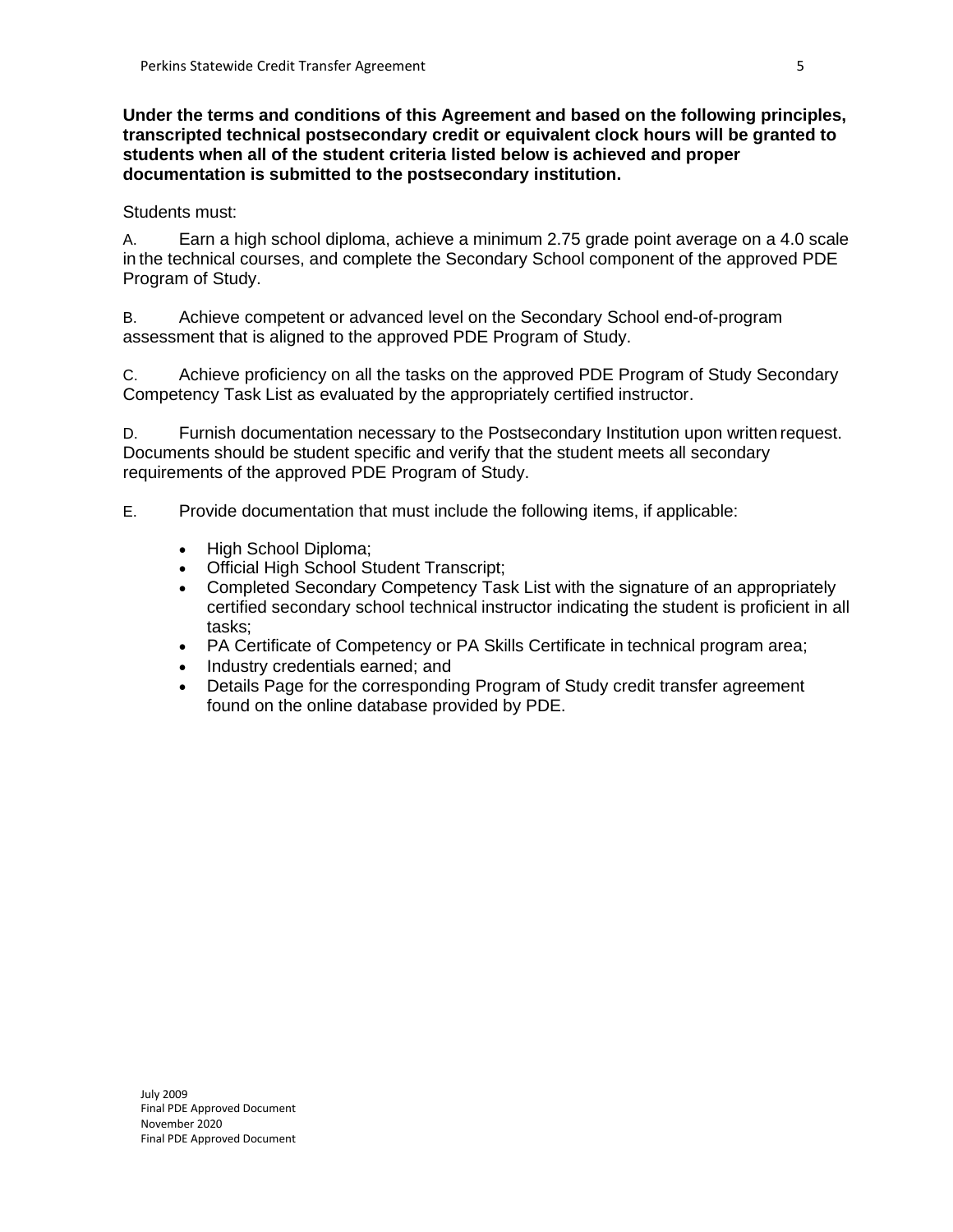**Under the terms and conditions of this Agreement and based on the following principles, transcripted technical postsecondary credit or equivalent clock hours will be granted to students when all of the student criteria listed below is achieved and proper documentation is submitted to the postsecondary institution.**

#### Students must:

A. Earn a high school diploma, achieve a minimum 2.75 grade point average on a 4.0 scale in the technical courses, and complete the Secondary School component of the approved PDE Program of Study.

B. Achieve competent or advanced level on the Secondary School end-of-program assessment that is aligned to the approved PDE Program of Study.

C. Achieve proficiency on all the tasks on the approved PDE Program of Study Secondary Competency Task List as evaluated by the appropriately certified instructor.

D. Furnish documentation necessary to the Postsecondary Institution upon written request. Documents should be student specific and verify that the student meets all secondary requirements of the approved PDE Program of Study.

E. Provide documentation that must include the following items, if applicable:

- High School Diploma;
- Official High School Student Transcript;
- Completed Secondary Competency Task List with the signature of an appropriately certified secondary school technical instructor indicating the student is proficient in all tasks;
- PA Certificate of Competency or PA Skills Certificate in technical program area;
- Industry credentials earned; and
- Details Page for the corresponding Program of Study credit transfer agreement found on the online database provided by PDE.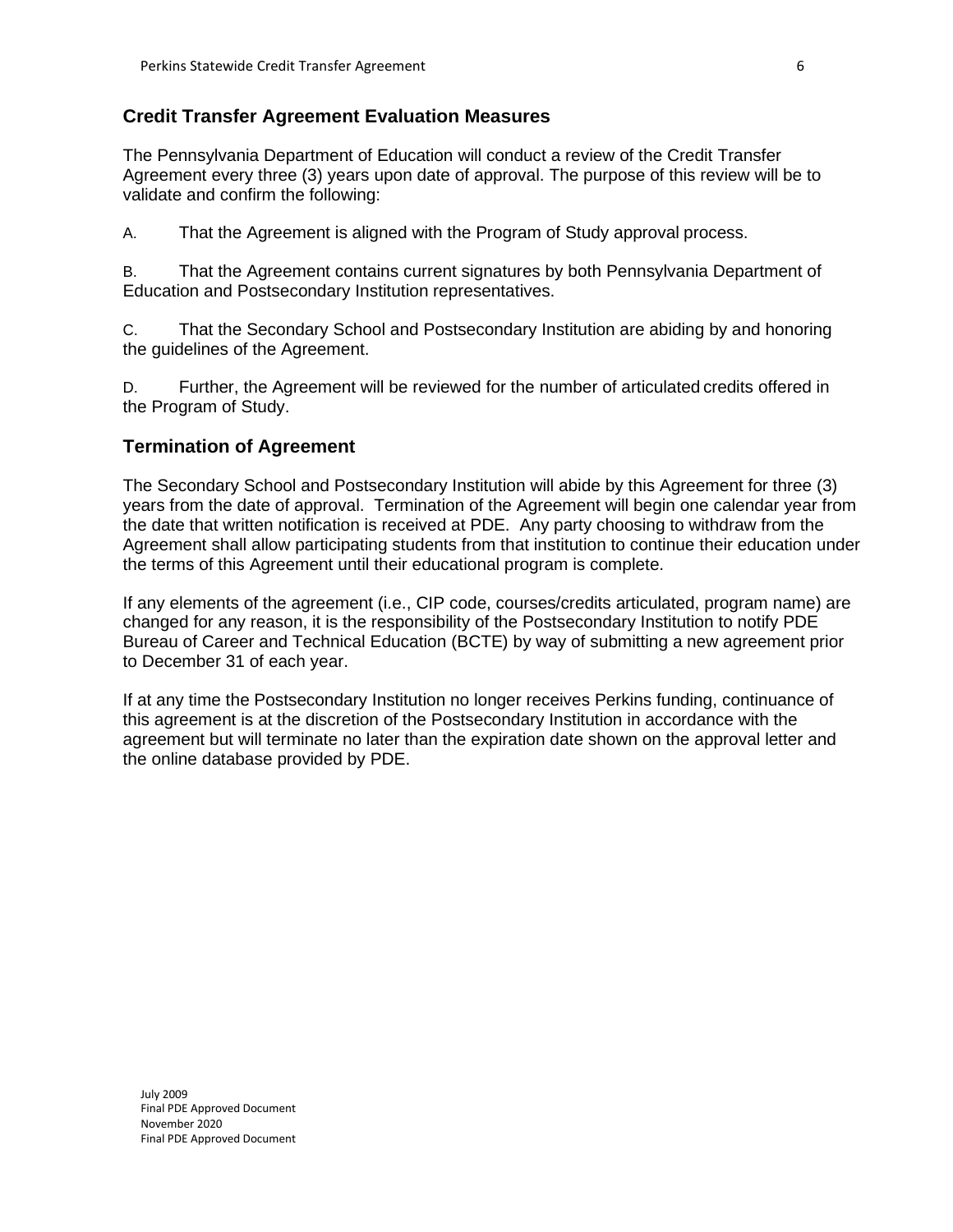#### **Credit Transfer Agreement Evaluation Measures**

The Pennsylvania Department of Education will conduct a review of the Credit Transfer Agreement every three (3) years upon date of approval. The purpose of this review will be to validate and confirm the following:

A. That the Agreement is aligned with the Program of Study approval process.

B. That the Agreement contains current signatures by both Pennsylvania Department of Education and Postsecondary Institution representatives.

C. That the Secondary School and Postsecondary Institution are abiding by and honoring the guidelines of the Agreement.

D. Further, the Agreement will be reviewed for the number of articulated credits offered in the Program of Study.

#### **Termination of Agreement**

The Secondary School and Postsecondary Institution will abide by this Agreement for three (3) years from the date of approval. Termination of the Agreement will begin one calendar year from the date that written notification is received at PDE. Any party choosing to withdraw from the Agreement shall allow participating students from that institution to continue their education under the terms of this Agreement until their educational program is complete.

If any elements of the agreement (i.e., CIP code, courses/credits articulated, program name) are changed for any reason, it is the responsibility of the Postsecondary Institution to notify PDE Bureau of Career and Technical Education (BCTE) by way of submitting a new agreement prior to December 31 of each year.

If at any time the Postsecondary Institution no longer receives Perkins funding, continuance of this agreement is at the discretion of the Postsecondary Institution in accordance with the agreement but will terminate no later than the expiration date shown on the approval letter and the online database provided by PDE.

July 2009 Final PDE Approved Document November 2020 Final PDE Approved Document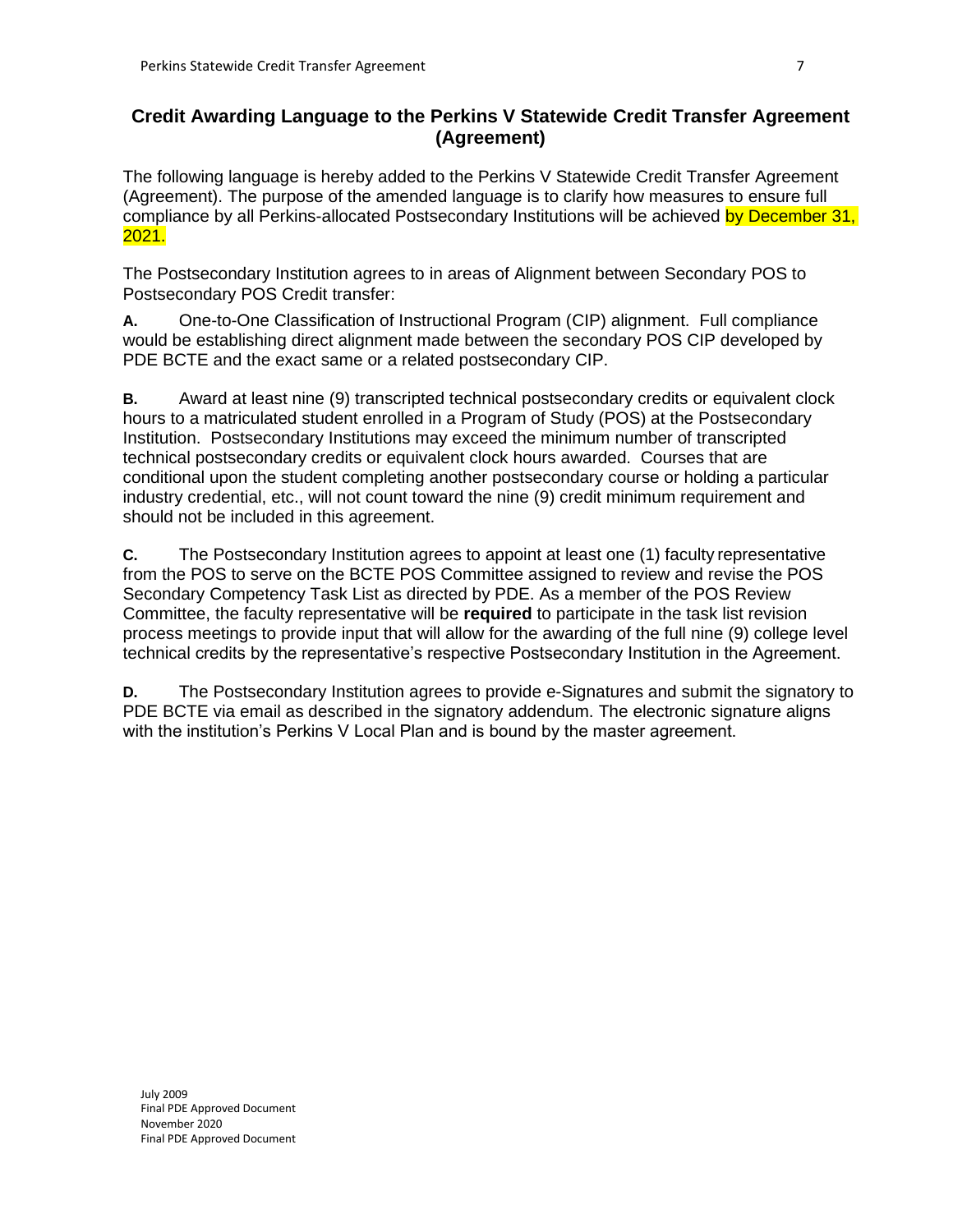### **Credit Awarding Language to the Perkins V Statewide Credit Transfer Agreement (Agreement)**

The following language is hereby added to the Perkins V Statewide Credit Transfer Agreement (Agreement). The purpose of the amended language is to clarify how measures to ensure full compliance by all Perkins-allocated Postsecondary Institutions will be achieved by December 31, 2021.

The Postsecondary Institution agrees to in areas of Alignment between Secondary POS to Postsecondary POS Credit transfer:

**A.** One-to-One Classification of Instructional Program (CIP) alignment. Full compliance would be establishing direct alignment made between the secondary POS CIP developed by PDE BCTE and the exact same or a related postsecondary CIP.

**B.** Award at least nine (9) transcripted technical postsecondary credits or equivalent clock hours to a matriculated student enrolled in a Program of Study (POS) at the Postsecondary Institution.Postsecondary Institutions may exceed the minimum number of transcripted technical postsecondary credits or equivalent clock hours awarded. Courses that are conditional upon the student completing another postsecondary course or holding a particular industry credential, etc., will not count toward the nine (9) credit minimum requirement and should not be included in this agreement.

**C.** The Postsecondary Institution agrees to appoint at least one (1) faculty representative from the POS to serve on the BCTE POS Committee assigned to review and revise the POS Secondary Competency Task List as directed by PDE. As a member of the POS Review Committee, the faculty representative will be **required** to participate in the task list revision process meetings to provide input that will allow for the awarding of the full nine (9) college level technical credits by the representative's respective Postsecondary Institution in the Agreement.

**D.** The Postsecondary Institution agrees to provide e-Signatures and submit the signatory to PDE BCTE via email as described in the signatory addendum. The electronic signature aligns with the institution's Perkins V Local Plan and is bound by the master agreement.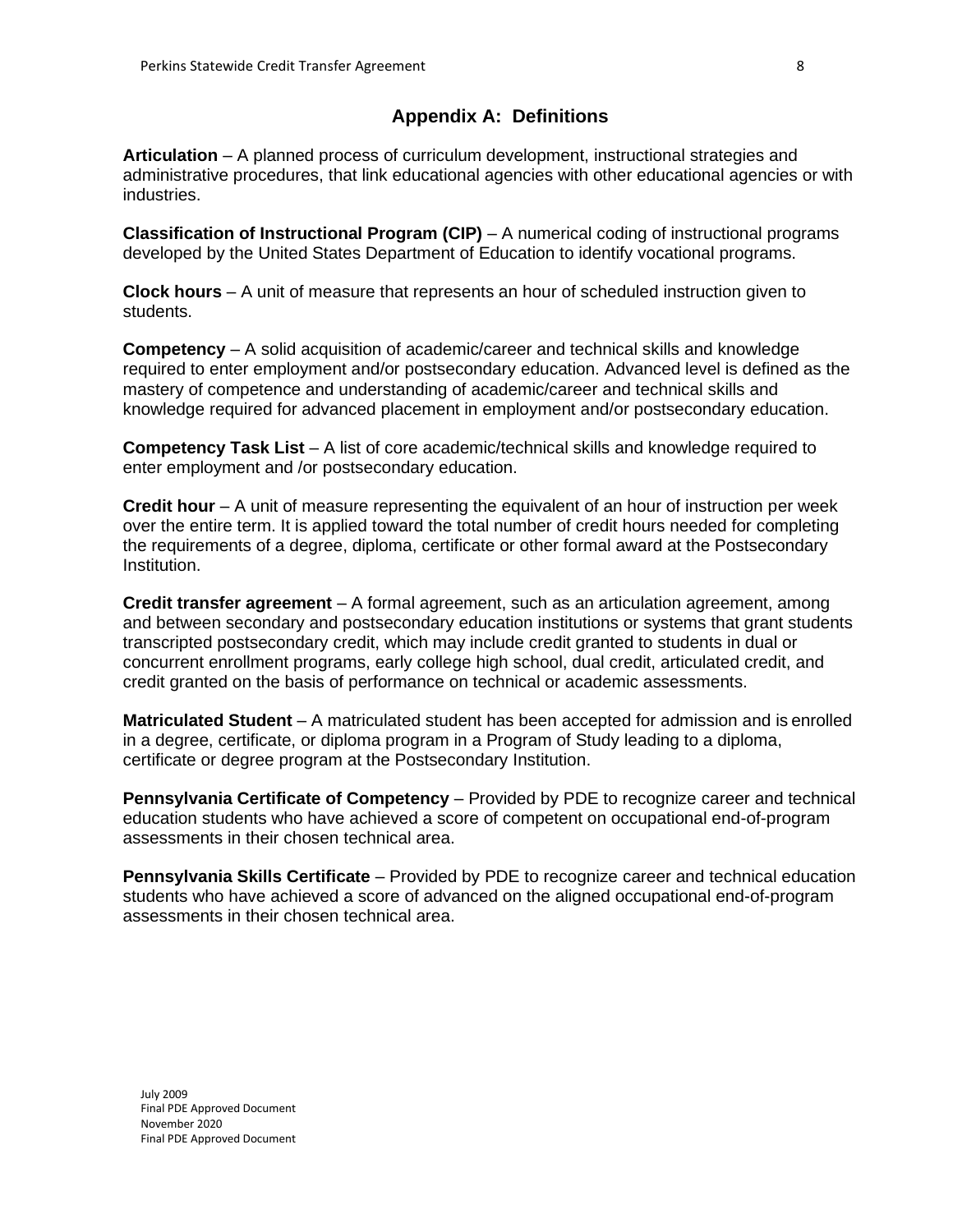### **Appendix A: Definitions**

**Articulation** – A planned process of curriculum development, instructional strategies and administrative procedures, that link educational agencies with other educational agencies or with industries.

**Classification of Instructional Program (CIP)** – A numerical coding of instructional programs developed by the United States Department of Education to identify vocational programs.

**Clock hours** – A unit of measure that represents an hour of scheduled instruction given to students.

**Competency** – A solid acquisition of academic/career and technical skills and knowledge required to enter employment and/or postsecondary education. Advanced level is defined as the mastery of competence and understanding of academic/career and technical skills and knowledge required for advanced placement in employment and/or postsecondary education.

**Competency Task List** – A list of core academic/technical skills and knowledge required to enter employment and /or postsecondary education.

**Credit hour** – A unit of measure representing the equivalent of an hour of instruction per week over the entire term. It is applied toward the total number of credit hours needed for completing the requirements of a degree, diploma, certificate or other formal award at the Postsecondary Institution.

**Credit transfer agreement** – A formal agreement, such as an articulation agreement, among and between secondary and postsecondary education institutions or systems that grant students transcripted postsecondary credit, which may include credit granted to students in dual or concurrent enrollment programs, early college high school, dual credit, articulated credit, and credit granted on the basis of performance on technical or academic assessments.

**Matriculated Student** – A matriculated student has been accepted for admission and is enrolled in a degree, certificate, or diploma program in a Program of Study leading to a diploma, certificate or degree program at the Postsecondary Institution.

**Pennsylvania Certificate of Competency** – Provided by PDE to recognize career and technical education students who have achieved a score of competent on occupational end-of-program assessments in their chosen technical area.

**Pennsylvania Skills Certificate** – Provided by PDE to recognize career and technical education students who have achieved a score of advanced on the aligned occupational end-of-program assessments in their chosen technical area.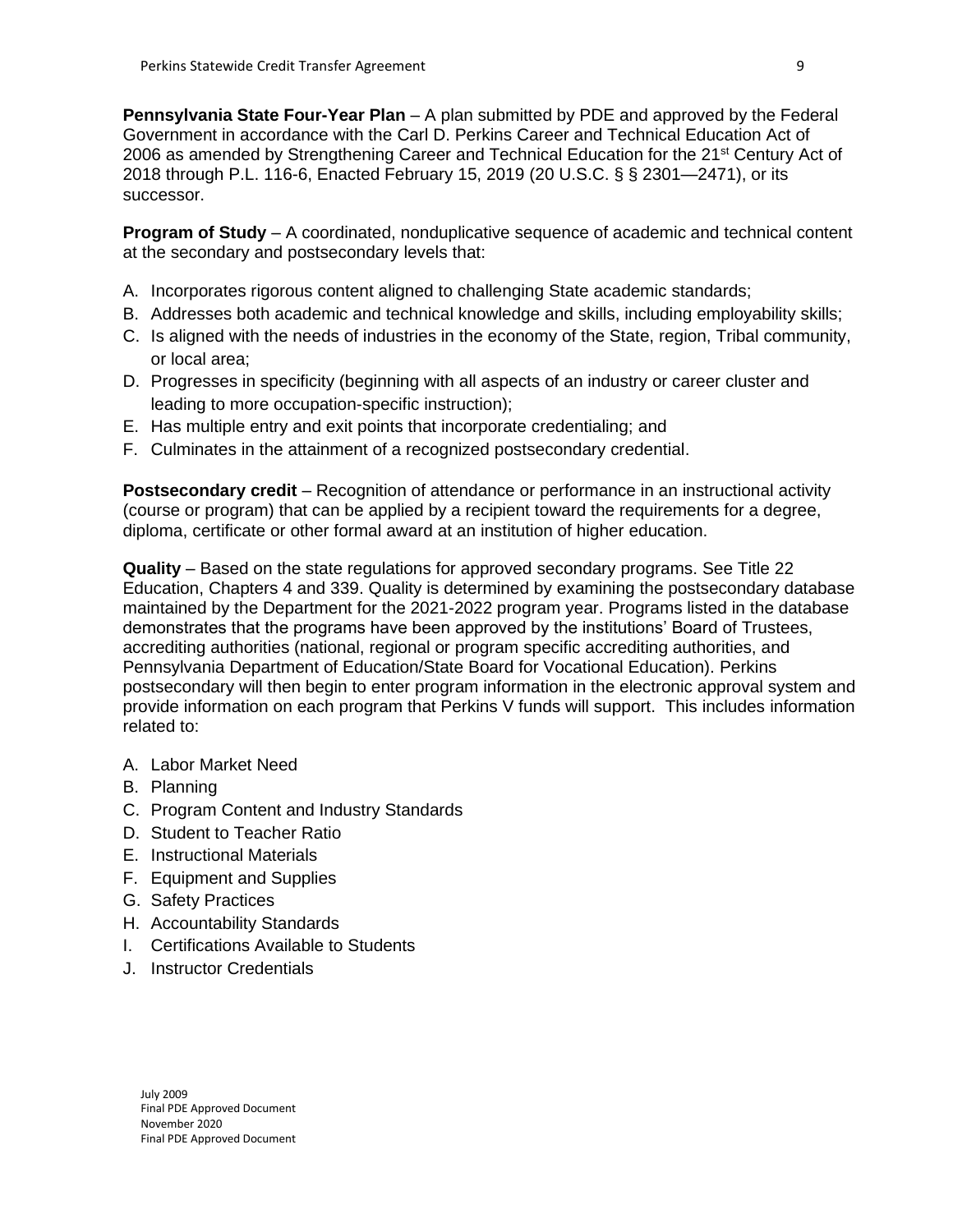**Pennsylvania State Four-Year Plan** – A plan submitted by PDE and approved by the Federal Government in accordance with the Carl D. Perkins Career and Technical Education Act of 2006 as amended by Strengthening Career and Technical Education for the 21<sup>st</sup> Century Act of 2018 through P.L. 116-6, Enacted February 15, 2019 (20 U.S.C. § § 2301—2471), or its successor.

**Program of Study** – A coordinated, nonduplicative sequence of academic and technical content at the secondary and postsecondary levels that:

- A. Incorporates rigorous content aligned to challenging State academic standards;
- B. Addresses both academic and technical knowledge and skills, including employability skills;
- C. Is aligned with the needs of industries in the economy of the State, region, Tribal community, or local area;
- D. Progresses in specificity (beginning with all aspects of an industry or career cluster and leading to more occupation-specific instruction);
- E. Has multiple entry and exit points that incorporate credentialing; and
- F. Culminates in the attainment of a recognized postsecondary credential.

**Postsecondary credit** – Recognition of attendance or performance in an instructional activity (course or program) that can be applied by a recipient toward the requirements for a degree, diploma, certificate or other formal award at an institution of higher education.

**Quality** – Based on the state regulations for approved secondary programs. See Title 22 Education, Chapters 4 and 339. Quality is determined by examining the postsecondary database maintained by the Department for the 2021-2022 program year. Programs listed in the database demonstrates that the programs have been approved by the institutions' Board of Trustees, accrediting authorities (national, regional or program specific accrediting authorities, and Pennsylvania Department of Education/State Board for Vocational Education). Perkins postsecondary will then begin to enter program information in the electronic approval system and provide information on each program that Perkins V funds will support. This includes information related to:

- A. Labor Market Need
- B. Planning
- C. Program Content and Industry Standards
- D. Student to Teacher Ratio
- E. Instructional Materials
- F. Equipment and Supplies
- G. Safety Practices
- H. Accountability Standards
- I. Certifications Available to Students
- J. Instructor Credentials